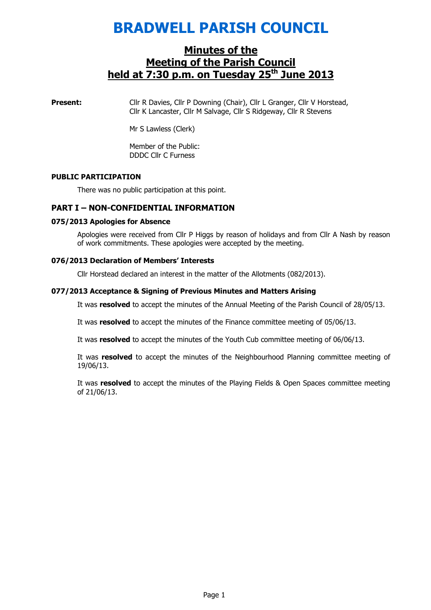# BRADWELL PARISH COUNCIL

## Minutes of the Meeting of the Parish Council held at  $7:30$  p.m. on Tuesday  $25<sup>th</sup>$  June 2013

**Present:** Cllr R Davies, Cllr P Downing (Chair), Cllr L Granger, Cllr V Horstead, Cllr K Lancaster, Cllr M Salvage, Cllr S Ridgeway, Cllr R Stevens

Mr S Lawless (Clerk)

Member of the Public: DDDC Cllr C Furness

#### PUBLIC PARTICIPATION

There was no public participation at this point.

#### PART I – NON-CONFIDENTIAL INFORMATION

#### 075/2013 Apologies for Absence

Apologies were received from Cllr P Higgs by reason of holidays and from Cllr A Nash by reason of work commitments. These apologies were accepted by the meeting.

#### 076/2013 Declaration of Members' Interests

Cllr Horstead declared an interest in the matter of the Allotments (082/2013).

#### 077/2013 Acceptance & Signing of Previous Minutes and Matters Arising

It was resolved to accept the minutes of the Annual Meeting of the Parish Council of 28/05/13.

It was resolved to accept the minutes of the Finance committee meeting of 05/06/13.

It was resolved to accept the minutes of the Youth Cub committee meeting of 06/06/13.

It was resolved to accept the minutes of the Neighbourhood Planning committee meeting of 19/06/13.

It was resolved to accept the minutes of the Playing Fields & Open Spaces committee meeting of 21/06/13.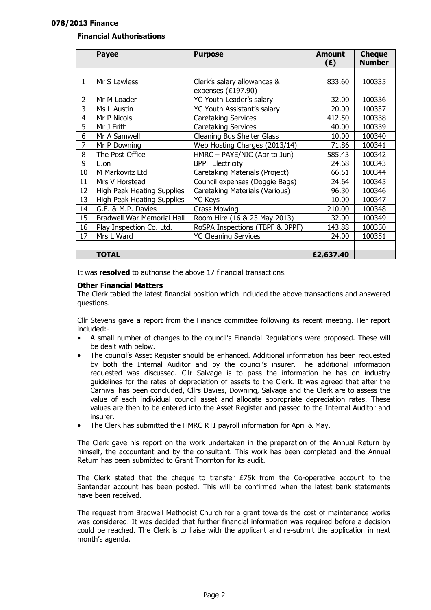#### 078/2013 Finance

#### Financial Authorisations

|                | <b>Payee</b>                      | <b>Purpose</b>                                      | <b>Amount</b><br>(E) | <b>Cheque</b><br><b>Number</b> |
|----------------|-----------------------------------|-----------------------------------------------------|----------------------|--------------------------------|
|                |                                   |                                                     |                      |                                |
| $\mathbf{1}$   | Mr S Lawless                      | Clerk's salary allowances &<br>expenses $(E197.90)$ | 833.60               | 100335                         |
| $\overline{2}$ | Mr M Loader                       | YC Youth Leader's salary                            | 32.00                | 100336                         |
| 3              | Ms L Austin                       | YC Youth Assistant's salary                         | 20.00                | 100337                         |
| 4              | Mr P Nicols                       | <b>Caretaking Services</b>                          | 412.50               | 100338                         |
| 5              | Mr J Frith                        | Caretaking Services                                 | 40.00                | 100339                         |
| 6              | Mr A Samwell                      | Cleaning Bus Shelter Glass                          | 10.00                | 100340                         |
| 7              | Mr P Downing                      | Web Hosting Charges (2013/14)                       | 71.86                | 100341                         |
| 8              | The Post Office                   | HMRC - PAYE/NIC (Apr to Jun)                        | 585.43               | 100342                         |
| 9              | E.on                              | <b>BPPF Electricity</b>                             | 24.68                | 100343                         |
| 10             | M Markovitz Ltd                   | Caretaking Materials (Project)                      | 66.51                | 100344                         |
| 11             | Mrs V Horstead                    | Council expenses (Doggie Bags)                      | 24.64                | 100345                         |
| 12             | High Peak Heating Supplies        | Caretaking Materials (Various)                      | 96.30                | 100346                         |
| 13             | High Peak Heating Supplies        | <b>YC Keys</b>                                      | 10.00                | 100347                         |
| 14             | G.E. & M.P. Davies                | <b>Grass Mowing</b>                                 | 210.00               | 100348                         |
| 15             | <b>Bradwell War Memorial Hall</b> | Room Hire (16 & 23 May 2013)                        | 32.00                | 100349                         |
| 16             | Play Inspection Co. Ltd.          | RoSPA Inspections (TBPF & BPPF)                     | 143.88               | 100350                         |
| 17             | Mrs L Ward                        | <b>YC Cleaning Services</b>                         | 24.00                | 100351                         |
|                |                                   |                                                     |                      |                                |
|                | <b>TOTAL</b>                      |                                                     | £2,637.40            |                                |

It was **resolved** to authorise the above 17 financial transactions.

#### Other Financial Matters

The Clerk tabled the latest financial position which included the above transactions and answered questions.

Cllr Stevens gave a report from the Finance committee following its recent meeting. Her report included:-

- A small number of changes to the council's Financial Regulations were proposed. These will be dealt with below.
- The council's Asset Register should be enhanced. Additional information has been requested by both the Internal Auditor and by the council's insurer. The additional information requested was discussed. Cllr Salvage is to pass the information he has on industry guidelines for the rates of depreciation of assets to the Clerk. It was agreed that after the Carnival has been concluded, Cllrs Davies, Downing, Salvage and the Clerk are to assess the value of each individual council asset and allocate appropriate depreciation rates. These values are then to be entered into the Asset Register and passed to the Internal Auditor and insurer.
- The Clerk has submitted the HMRC RTI payroll information for April & May.

The Clerk gave his report on the work undertaken in the preparation of the Annual Return by himself, the accountant and by the consultant. This work has been completed and the Annual Return has been submitted to Grant Thornton for its audit.

The Clerk stated that the cheque to transfer  $E75k$  from the Co-operative account to the Santander account has been posted. This will be confirmed when the latest bank statements have been received.

The request from Bradwell Methodist Church for a grant towards the cost of maintenance works was considered. It was decided that further financial information was required before a decision could be reached. The Clerk is to liaise with the applicant and re-submit the application in next month's agenda.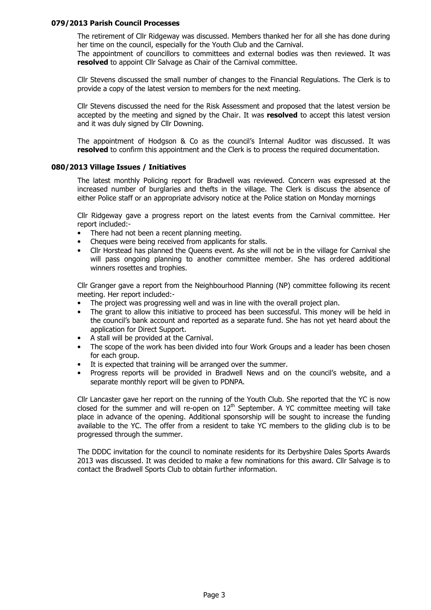#### 079/2013 Parish Council Processes

The retirement of Cllr Ridgeway was discussed. Members thanked her for all she has done during her time on the council, especially for the Youth Club and the Carnival.

The appointment of councillors to committees and external bodies was then reviewed. It was resolved to appoint Cllr Salvage as Chair of the Carnival committee.

Cllr Stevens discussed the small number of changes to the Financial Regulations. The Clerk is to provide a copy of the latest version to members for the next meeting.

Cllr Stevens discussed the need for the Risk Assessment and proposed that the latest version be accepted by the meeting and signed by the Chair. It was resolved to accept this latest version and it was duly signed by Cllr Downing.

The appointment of Hodgson & Co as the council's Internal Auditor was discussed. It was resolved to confirm this appointment and the Clerk is to process the required documentation.

#### 080/2013 Village Issues / Initiatives

The latest monthly Policing report for Bradwell was reviewed. Concern was expressed at the increased number of burglaries and thefts in the village. The Clerk is discuss the absence of either Police staff or an appropriate advisory notice at the Police station on Monday mornings

Cllr Ridgeway gave a progress report on the latest events from the Carnival committee. Her report included:-

- There had not been a recent planning meeting.
- Cheques were being received from applicants for stalls.
- Cllr Horstead has planned the Queens event. As she will not be in the village for Carnival she will pass ongoing planning to another committee member. She has ordered additional winners rosettes and trophies.

Cllr Granger gave a report from the Neighbourhood Planning (NP) committee following its recent meeting. Her report included:-

- The project was progressing well and was in line with the overall project plan.
- The grant to allow this initiative to proceed has been successful. This money will be held in the council's bank account and reported as a separate fund. She has not yet heard about the application for Direct Support.
- A stall will be provided at the Carnival.
- The scope of the work has been divided into four Work Groups and a leader has been chosen for each group.
- It is expected that training will be arranged over the summer.
- Progress reports will be provided in Bradwell News and on the council's website, and a separate monthly report will be given to PDNPA.

Cllr Lancaster gave her report on the running of the Youth Club. She reported that the YC is now closed for the summer and will re-open on  $12<sup>th</sup>$  September. A YC committee meeting will take place in advance of the opening. Additional sponsorship will be sought to increase the funding available to the YC. The offer from a resident to take YC members to the gliding club is to be progressed through the summer.

The DDDC invitation for the council to nominate residents for its Derbyshire Dales Sports Awards 2013 was discussed. It was decided to make a few nominations for this award. Cllr Salvage is to contact the Bradwell Sports Club to obtain further information.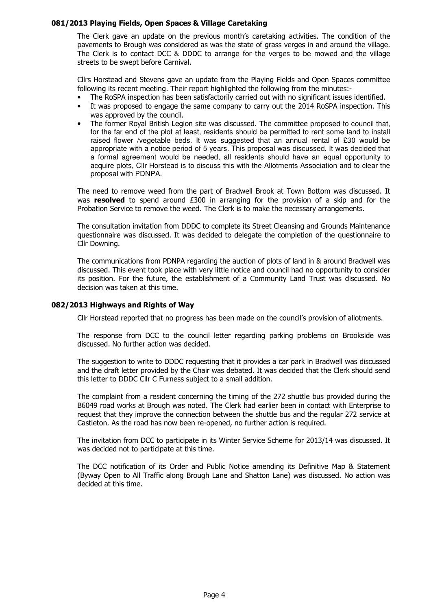#### 081/2013 Playing Fields, Open Spaces & Village Caretaking

The Clerk gave an update on the previous month's caretaking activities. The condition of the pavements to Brough was considered as was the state of grass verges in and around the village. The Clerk is to contact DCC & DDDC to arrange for the verges to be mowed and the village streets to be swept before Carnival.

Cllrs Horstead and Stevens gave an update from the Playing Fields and Open Spaces committee following its recent meeting. Their report highlighted the following from the minutes:-

- The RoSPA inspection has been satisfactorily carried out with no significant issues identified.
- It was proposed to engage the same company to carry out the 2014 RoSPA inspection. This was approved by the council.
- The former Royal British Legion site was discussed. The committee proposed to council that, for the far end of the plot at least, residents should be permitted to rent some land to install raised flower /vegetable beds. It was suggested that an annual rental of £30 would be appropriate with a notice period of 5 years. This proposal was discussed. It was decided that a formal agreement would be needed, all residents should have an equal opportunity to acquire plots, Cllr Horstead is to discuss this with the Allotments Association and to clear the proposal with PDNPA.

The need to remove weed from the part of Bradwell Brook at Town Bottom was discussed. It was resolved to spend around  $£300$  in arranging for the provision of a skip and for the Probation Service to remove the weed. The Clerk is to make the necessary arrangements.

The consultation invitation from DDDC to complete its Street Cleansing and Grounds Maintenance questionnaire was discussed. It was decided to delegate the completion of the questionnaire to Cllr Downing.

The communications from PDNPA regarding the auction of plots of land in & around Bradwell was discussed. This event took place with very little notice and council had no opportunity to consider its position. For the future, the establishment of a Community Land Trust was discussed. No decision was taken at this time.

#### 082/2013 Highways and Rights of Way

Cllr Horstead reported that no progress has been made on the council's provision of allotments.

The response from DCC to the council letter regarding parking problems on Brookside was discussed. No further action was decided.

The suggestion to write to DDDC requesting that it provides a car park in Bradwell was discussed and the draft letter provided by the Chair was debated. It was decided that the Clerk should send this letter to DDDC Cllr C Furness subject to a small addition.

The complaint from a resident concerning the timing of the 272 shuttle bus provided during the B6049 road works at Brough was noted. The Clerk had earlier been in contact with Enterprise to request that they improve the connection between the shuttle bus and the regular 272 service at Castleton. As the road has now been re-opened, no further action is required.

The invitation from DCC to participate in its Winter Service Scheme for 2013/14 was discussed. It was decided not to participate at this time.

The DCC notification of its Order and Public Notice amending its Definitive Map & Statement (Byway Open to All Traffic along Brough Lane and Shatton Lane) was discussed. No action was decided at this time.